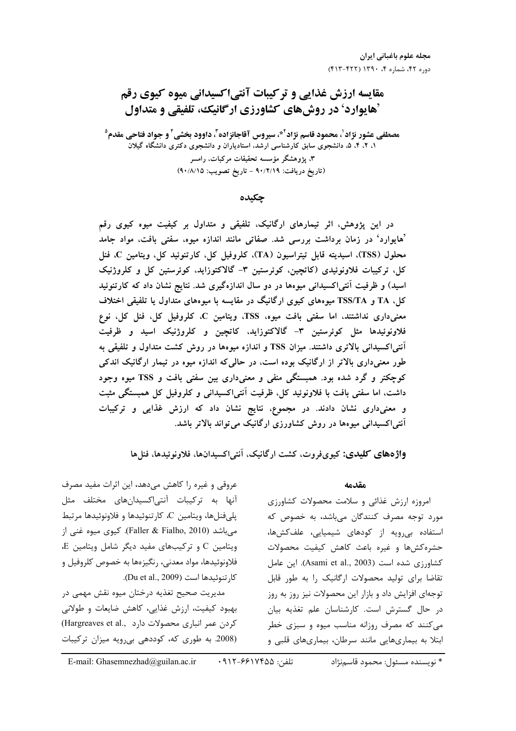# مقایسه ارزش غذایی و تر کیبات آنتی اکسیدانی میوه کیوی رقم `هایوارد' در روش های کشاورزی ارگانیک، تلفیقی و متداول

مصطفى عشور نژاد<sup>1</sup>، محمود قاسم نژاد<sup>24،</sup> سيروس آقاجانزاده<sup>7</sup>، داوود بخشى<sup>1</sup> و جواد فتاحى مقدم<sup>9</sup> ۱، ۲، ۴، ۵، دانشجوی سابق کارشناسی ارشد، استادیاران و دانشجوی دکتری دانشگاه گیلان ۳، پژوهشگر مؤسسه تحقیقات مرکبات، رامسر (تاريخ دريافت: ٩٠/٢/١٩ - تاريخ تصويب: ٩٠/٨/١٥)

چکیده

در این پژوهش، اثر تیمارهای ارگانیک، تلفیقی و متداول بر کیفیت میوه کیوی رقم <sup>م</sup>هایوارد<sup>،</sup> در زمان برداشت بررسی شد. صفاتی مانند اندازه میوه، سفتی بافت، مواد جامد محلول (TSS)، اسیدیته قابل تیتراسیون (TA)، کلروفیل کل، کارتنوئید کل، ویتامین C، فنل کل، ترکیبات فلاونوئیدی (کاتچین، کوئرستین ۳- گالاکتوزاید، کوئرستین کل و کلروژنیک اسید) و ظرفیت آنتی|کسیدانی میوهها در دو سال اندازهگیری شد. نتایج نشان داد که کارتنوئید کل، TA و TSS/TA میوههای کیوی ارگانیگ در مقایسه با میوههای متداول یا تلفیقی اختلاف معنیداری نداشتند، اما سفتی بافت میوه، TSS، ویتامین C، کلروفیل کل، فنل کل، نوع فلاونوئیدها مثل کوئرستین ۳- گالاکتوزاید، کاتچین و کلروژنیک اسید و ظرفیت آنتی|کسیدانی بالاتری داشتند. میزان TSS و اندازه میوهها در روش کشت متداول و تلفیقی به طور معنی داری بالاتر از ارگانیک بوده است، در حالی که اندازه میوه در تیمار ارگانیک اندکی کوچکتر و گرد شده بود. همبستگی منفی و معنیداری بین سفتی بافت و TSS میوه وجود داشت، اما سفتی بافت با فلاونوئید کل، ظرفیت آنتی اکسیدانی و کلروفیل کل همبستگی مثبت و معنیداری نشان دادند. در مجموع، نتایج نشان داد که ارزش غذایی و ترکیبات آنتی|کسیدانی میوهها در روش کشاورزی ارگانیک می تواند بالاتر باشد.

واژههای کلیدی: کیویفروت، کشت ارگانیک، آنتیاکسیدانها، فلاونوئیدها، فنلها

### مقدمه

امروزه ارزش غذائی و سلامت محصولات کشاورزی مورد توجه مصرف کنندگان میباشد، به خصوص که استفاده بی <sub>ر</sub>ویه از کودهای شیمیایی، علفکشها، حشره كش6ا وغيره باعث كاهش كيفيت محصولات کشاورزی شده است (Asami et al., 2003). این عامل تقاضا برای تولید محصولات ارگانیک را به طور قابل توجهای افزایش داد و بازار این محصولات نیز روز به روز در حال گسترش است. كارشناسان علم تغذيه بيان می کنند که مصرف روزانه مناسب میوه و سبزی خطر ابتلا به بیماریهایی مانند سرطان، بیماریهای قلبی و

عروقی و غیره را کاهش میدهد، این اثرات مفید مصرف آنها به ترکیبات آنتیاکسیدانهای مختلف مثل پليفنلها، ويتامين C، كارتنوئيدها و فلاونوئيدها مرتبط میباشد (Faller & Fialho, 2010). کیوی میوه غنی از  $E$  ویتامین  $C$  و ترکیبهای مفید دیگر شامل ویتامین فلاونوئیدها، مواد معدنی، رنگیزهها به خصوص کلروفیل و كا, تنوئيدها است (Du et al., 2009).

مدیریت صحیح تغذیه درختان میوه نقش مهمی در بهبود کیفیت، ارزش غذایی، کاهش ضایعات و طولانی كردن عمر انبارى محصولات دارد ..Hargreaves et al (2008. به طوری که، کوددهی بی رویه میزان ترکیبات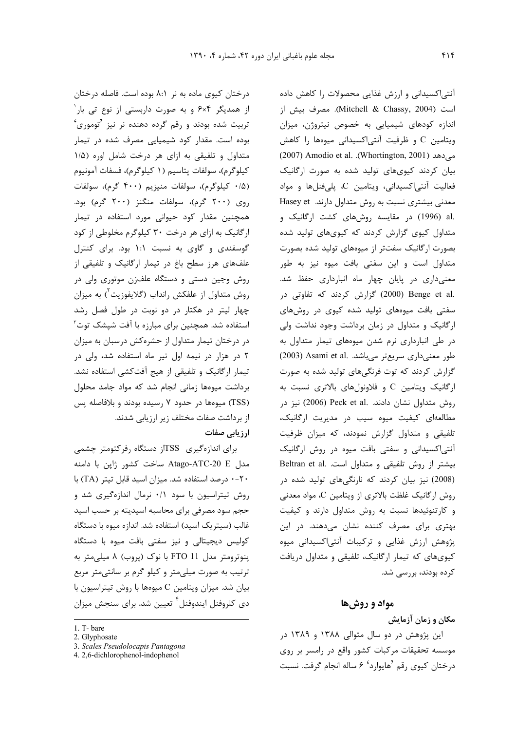درختان کیوی ماده به نر ۸:۱ بوده است. فاصله درختان از همدیگر ۶×۶ و به صورت داربستی از نوع تی بار<sup>۱</sup> تربیت شده بودند و رقم گرده دهنده نر نیز <sup>7</sup>توموری<sup>6</sup> بوده است. مقدار کود شیمیایی مصرف شده در تیمار متداول و تلفیقی به ازای هر درخت شامل اوره (۱/۵ كيلوگرم)، سولفات يتاسيم (١ كيلوگرم)، فسفات آمونيوم (۰/۵ كيلوگرم)، سولفات منيزيم (۴۰۰ گرم)، سولفات روی (۲۰۰ گرم)، سولفات منگنز (۲۰۰ گرم) بود. همچنین مقدار کود حیوانی مورد استفاده در تیمار ارگانیک به ازای هر درخت ۳۰ کیلوگرم مخلوطی از کود گوسفندی و گاوی به نسبت ۱:۱ بود. برای کنترل علفهای هرز سطح باغ در تیمار ارگانیک و تلفیقی از روش وجین دستی و دستگاه علفزن موتوری ولی در روش متداول از علفکش رانداب (گلایفوزیت<sup>۲</sup>) به میزان چهار لیتر در هکتار در دو نوبت در طول فصل رشد استفاده شد. همچنین برای مبارزه با آفت شپشک توت<sup>۳</sup> در درختان تیمار متداول از حشرهکش درسبان به میزان ۲ در هزار در نیمه اول تیر ماه استفاده شد، ولی در تیمار ارگانیک و تلفیقی از هیج آفتکشی استفاده نشد. برداشت میوهها زمانی انجام شد که مواد جامد محلول (TSS) میوهها در حدود ۷ رسیده بودند و بلافاصله پس از برداشت صفات مختلف زیر ارزیابی شدند. ارز بابی صفات

برای اندازهگیری TSSاز دستگاه رفرکتومتر چشمی مدل Atago-ATC-20 E ساخت کشور ژاپن با دامنه ۲۰-۰ درصد استفاده شد. میزان اسید قابل تیتر (TA) با روش تیتراسیون با سود ۰/۱ نرمال اندازهگیری شد و حجم سود مصرفی برای محاسبه اسیدیته بر حسب اسید غالب (سیتریک اسید) استفاده شد. اندازه میوه با دستگاه کولیس دیجیتالی و نیز سفتی بافت میوه با دستگاه ینوترومتر مدل FTO 11 با نوک (پروب) ۸ میلی متر به ترتیب به صورت میلیمتر و کیلو گرم بر سانتیمتر مربع بیان شد. میزان ویتامین C میوهها با روش تیتراسیون با دی کلروفنل ایندوفنل<sup>۴</sup> تعیین شد. برای سنجش میزان

آنتی|کسیدانی و ارزش غذایی محصولات را کاهش داده است (Mitchell & Chassy, 2004). مصرف بيش از اندازه کودهای شیمیایی به خصوص نیتروژن، میزان ويتامين C و ظرفيت آنتي اكسيداني ميوهها را كاهش می دهد (Whortington, 2001). Amodio et al. .(Whortington, 2001) بیان کردند کیویهای تولید شده به صورت ارگانیک فعالیت آنتے اکسیدانی، ویتامین C، پلی فنلها و مواد معدنی بیشتری نسبت به روش متداول دارند. Hasey et .al (1996) در مقایسه روشهای کشت ارگانیک و متداول کیوی گزارش کردند که کیویهای تولید شده بصورت ارگانیک سفتتر از میوههای تولید شده بصورت متداول است و این سفتی بافت میوه نیز به طور معنیداری در پایان چهار ماه انبارداری حفظ شد. .2000) Benge et al (2000) گزارش کردند که تفاوتی در سفتی بافت میوههای تولید شده کیوی در روشهای ارگانیک و متداول در زمان برداشت وجود نداشت ولی در طی انبارداری نرم شدن میوههای تیمار متداول به طور معنى دارى سريعتر مى باشد. .Asami et al (2003) گزارش کردند که توت فرنگیهای تولید شده به صورت ارگانیک ویتامین C و فلاونولهای بالاتری نسبت به روش متداول نشان دادند. .Peck et al (2006) نیز در مطالعهای کیفیت میوه سیب در مدیریت ارگانیک، تلفیقی و متداول گزارش نمودند، که میزان ظرفیت آنتی اکسیدانی و سفتی بافت میوه در روش ارگانیک Beltran et al. ابیشتر از روش تلفیقی و متداول است. (2008) نیز بیان کردند که نارنگیهای تولید شده در روش ارگانیک غلظت بالاتری از ویتامین C، مواد معدنی و کارتنوئیدها نسبت به روش متداول دارند و کیفیت بهتری برای مصرف کننده نشان میدهند. در این پژوهش ارزش غذایی و ترکیبات آنتیاکسیدانی میوه کیویهای که تیمار ارگانیک، تلفیقی و متداول دریافت کرده بودند، بررسی شد.

#### مواد و روشها

مکان و زمان آزمایش

این پژوهش در دو سال متوالی ۱۳۸۸ و ۱۳۸۹ در موسسه تحقیقات مرکبات کشور واقع در رامسر بر روی درختان كيوي رقم 'هايوارد' ۶ ساله انجام گرفت. نسبت

<sup>1.</sup> T-bare

<sup>2.</sup> Glyphosate

<sup>3.</sup> Scales Pseudolocapis Pantagona

<sup>4.2,6-</sup>dichlorophenol-indophenol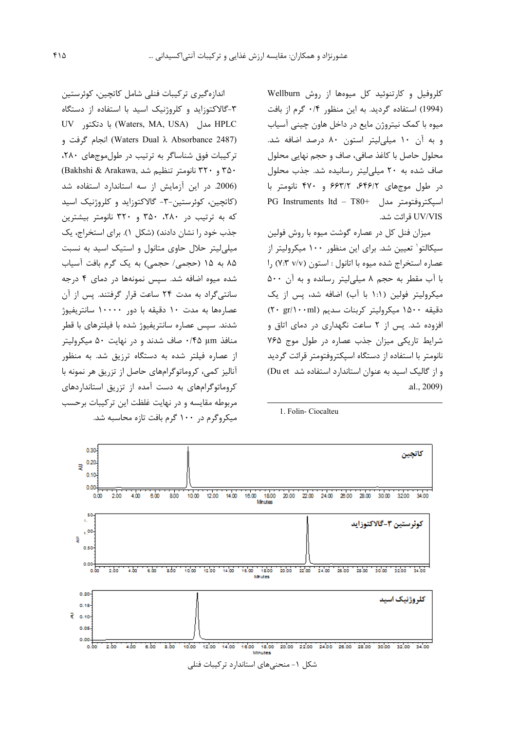كلروفيل و كارتنوئيد كل ميوهها از روش Wellburn (1994) استفاده گردید. به این منظور ۰/۴ گرم از بافت میوه با کمک نیتروژن مایع در داخل هاون چینی آسیاب و به آن ١٠ ميلي ليتر استون ٨٠ درصد اضافه شد. محلول حاصل با كاغذ صافى، صاف و حجم نهايي محلول صاف شده به ۲۰ میلی لیتر رسانیده شد. جذب محلول در طول موجهای ۶۴۶/۲، ۶۶۳/۲ و ۴۷۰ نانومتر با PG Instruments ltd - T80+ اسيكتروفتومتر مدل UV/VIS قرائت شد.

میزان فنل کل در عصاره گوشت میوه با روش فولین سیکالتو` تعیین شد. برای این منظور ۱۰۰ میکرولیتر از عصاره استخراج شده ميوه با اتانول : استون (٧:٣ ٧/٧) را با آب مقطر به حجم ۸ میلی لیتر رسانده و به آن ۵۰۰ میکرولیتر فولین (۱:۱ با آب) اضافه شد، پس از یک دقيقه ١۵٠٠ ميكروليتر كربنات سديم (٢٠ gr/١٠٠ml) افزوده شد. پس از ۲ ساعت نگهداری در دمای اتاق و شرایط تاریکی میزان جذب عصاره در طول موج ۷۶۵ نانومتر با استفاده از دستگاه اسیکتروفتومتر قرائت گردید و از گالیک اسید به عنوان استاندارد استفاده شد Du et) .al., 2009)

اندازەگيرى تركيبات فنلى شامل كاتچين، كوئرستين ۳-گالاکتوزاید و کلروژنیک اسید با استفاده از دستگاه UV مدل (Waters, MA, USA) با دتكتو, W (Waters Dual  $\lambda$  Absorbance 2487) انجام گرفت و ترکیبات فوق شناساگر به ترتیب در طول موجهای ۲۸۰، (Bakhshi & Arakawa, تانومتر تنظيم شد (Bakhshi & Arakawa) (2006. در این آزمایش از سه استاندارد استفاده شد (کاتچین، کوئرستین-۳- گالاکتوزاید و کلروژنیک اسید که به ترتیب در ۲۸۰، ۳۵۰ و ۳۲۰ نانومتر بیشترین جذب خود را نشان دادند) (شکل ۱). برای استخراج، یک میلی لیتر حلال حاوی متانول و استیک اسید به نسبت ٨۵ به ١۵ (حجمى/ حجمى) به يک گرم بافت آسياب شده میوه اضافه شد. سپس نمونهها در دمای ۴ درجه سانتے گراد به مدت ۲۴ ساعت قرار گرفتند. پس از آن عصارمها به مدت ۱۰ دقیقه با دور ۱۰۰۰۰ سانتریفیوژ شدند. سپس عصاره سانتریفیوژ شده با فیلترهای با قطر منافذ ۰/۴۵ µm ماف شدند و در نهایت ۵۰ میکرولیتر از عصاره فیلتر شده به دستگاه ترزیق شد. به منظور آنالیز کمی، کروماتوگرامهای حاصل از تزریق هر نمونه با کروماتوگرامهای به دست آمده از تزریق استانداردهای مربوطه مقايسه و در نهايت غلظت اين تركيبات برحسب میکروگرم در ۱۰۰ گرم بافت تازه محاسبه شد.



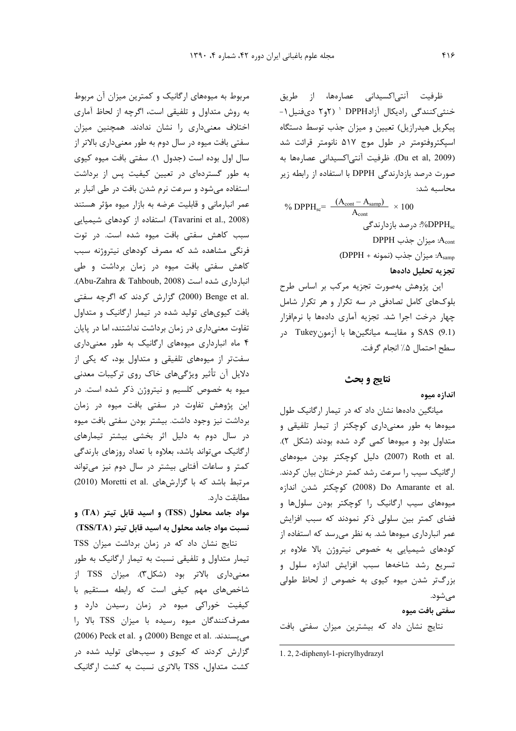ظرفیت آنتیاکسیدانی عصارهها، از طریق خنثی کنندگی رادیکال آزادDPPH ( ۲و۲ دیفنیل ۱-پیکریل هیدرازیل) تعیین و میزان جذب توسط دستگاه اسیکتروفتومتر در طول موج ۵۱۷ نانومتر قرائت شد (Du et al, 2009). ظرفيت أنتي|كسيداني عصارهها به صورت درصد بازدارندگی DPPH با استفاده از رابطه زیر محاسبه شد:

% DPPH<sub>sc</sub>=  $\frac{(A_{\text{cont}} - A_{\text{ samp}})}{A_{\text{cont}}}$  × 100 DPPHsc%: درصد بازدارندگی  $DPPH$  میزان جذب: (DPPH + ميزان جذب (نمونه: DPPH) تجزيه تحليل دادهها

این پژوهش بهصورت تجزیه مرکب بر اساس طرح بلوکهای کامل تصادفی در سه تکرار و هر تکرار شامل چهار درخت اجرا شد. تجزیه آماری دادهها با نرمافزار SAS (9.1) و مقايسه ميانگينها با آزمونTukey در سطح احتمال ۵٪ انجام گرفت.

#### نتايج و بحث

## اندازه ميوه

میانگین دادهها نشان داد که در تیمار ارگانیک طول میوهها به طور معنیداری کوچکتر از تیمار تلفیقی و متداول بود و میوهها کمی گرد شده بودند (شکل ۲). .2007) Roth et al (2007) دليل كوچكتر بودن ميوههاى ارگانیک سیب را سرعت رشد کمتر درختان بیان کردند. .2008) Do Amarante et al (2008) كوچكتر شدن اندازه میوههای سیب ارگانیک را کوچکتر بودن سلولها و فضای کمتر بین سلولی ذکر نمودند که سبب افزایش عمر انبارداری میوهها شد. به نظر می رسد که استفاده از کودهای شیمیایی به خصوص نیتروژن بالا علاوه بر تسریع رشد شاخهها سبب افزایش اندازه سلول و بزرگتر شدن میوه کیوی به خصوص از لحاظ طولی مے شود.

## سفتے بافت میوہ

نتایج نشان داد که بیشترین میزان سفتی بافت

1.2, 2-diphenyl-1-picrylhydrazyl

مربوط به میوههای ارگانیک و کمترین میزان آن مربوط به روش متداول و تلفیقی است، اگرچه از لحاظ آماری اختلاف معنى دارى را نشان ندادند. همچنين ميزان سفتی بافت میوه در سال دوم به طور معنیداری بالاتر از سال اول بوده است (جدول ١). سفتي بافت ميوه كيوي به طور گستردهای در تعیین کیفیت پس از برداشت استفاده میشود و سرعت نرم شدن بافت در طی انبار بر عمر انبارمانی و قابلیت عرضه به بازار میوه مؤثر هستند (Tavarini et al., 2008). استفاده از کودهای شیمیایی سبب كاهش سفتى بافت ميوه شده است. در توت فرنگی مشاهده شد که مصرف کودهای نیتروژنه سبب كاهش سفتى بافت ميوه در زمان برداشت وطى انبارداری شده است (Abu-Zahra & Tahboub, 2008). .2000) Benge et al) گزارش کردند که اگرچه سفتی بافت کیویهای تولید شده در تیمار ارگانیک و متداول تفاوت معنیداری در زمان برداشت نداشتند، اما در پایان ۴ ماه انبارداری میوههای ارگانیک به طور معنیداری سفتتر از میوههای تلفیقی و متداول بود، که یکی از دلایل آن تأثیر ویژگیهای خاک روی ترکیبات معدنی میوه به خصوص کلسیم و نیتروژن ذکر شده است. در این پژوهش تفاوت در سفتی بافت میوه در زمان برداشت نیز وجود داشت. بیشتر بودن سفتی بافت میوه در سال دوم به دلیل اثر بخشی بیشتر تیمارهای ارگانیک میتواند باشد، بعلاوه با تعداد روزهای بارندگی کمتر و ساعات آفتابی بیشتر در سال دوم نیز میتواند مرتبط باشد که با گزارشهای .Moretti et al (2010) مطابقت دارد.

مواد جامد محلول (TSS) و اسید قابل تیتر (TA) و نسبت مواد جامد محلول به اسید قابل تیتر (TSS/TA)

نتایج نشان داد که در زمان برداشت میزان TSS تیمار متداول و تلفیقی نسبت به تیمار ارگانیک به طور معنىدارى بالاتر بود (شكل٣). ميزان TSS از شاخصهای مهم کیفی است که رابطه مستقیم با کیفیت خوراکی میوه در زمان رسیدن دارد و مصرف كنندگان ميوه رسيده با ميزان TSS بالا را 02006) Peck et al. و (2000) Benge et al. گزارش کردند که کیوی و سیبهای تولید شده در کشت متداول، TSS بالاتری نسبت به کشت ارگانیک ۴۱۶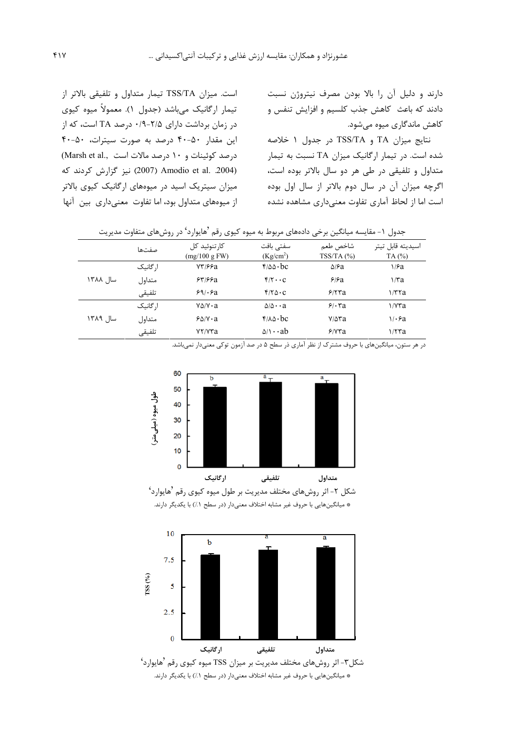دارند و دلیل آن را بالا بودن مصرف نیتروژن نسبت دادند که باعث کاهش جذب کلسیم و افزایش تنفس و کاهش ماندگاری میوه میشود.

نتايج ميزان TA و TSS/TA در جدول ۱ خلاصه شده است. در تیمار ارگانیک میزان TA نسبت به تیمار متداول و تلفیقی در طی هر دو سال بالاتر بوده است، اگرچه میزان آن در سال دوم بالاتر از سال اول بوده است اما از لحاظ آماری تفاوت معنیداری مشاهده نشده

است. میزان TSS/TA تیمار متداول و تلفیقی بالاتر از تیمار ارگانیک می باشد (جدول ۱). معمولاً میوه کیوی در زمان برداشت دارای ۲/۵-۰/۹ درصد TA است، که از این مقدار ۴۰-۴۰ درصد به صورت سیترات، ۴۰-۴۰ درصد کوئینات و ١٠ درصد مالات است ..Marsh et al (2004. Amodio et al. 2004) نيز گزارش كردند كه میزان سیتریک اسید در میوههای ارگانیک کیوی بالاتر از میوههای متداول بود، اما تفاوت معنیداری بین آنها

| جدول ۱- مقایسه میانگین برخی دادههای مربوط به میوه کیوی رقم <sup>ر</sup> هایوارد' در روشهای متفاوت مدیریت |          |                               |                                    |                       |                            |  |  |  |
|----------------------------------------------------------------------------------------------------------|----------|-------------------------------|------------------------------------|-----------------------|----------------------------|--|--|--|
|                                                                                                          | صفتها    | کار تنوئید کل<br>(mg/100 gFW) | سفتے بافت<br>(Kg/cm <sup>2</sup> ) | شاخص طعم<br>TSS/TA(%) | اسيديته قابل تيتر<br>TA(%) |  |  |  |
|                                                                                                          | ار گانیک | 73166a                        | $f/\Delta\Delta \cdot bc$          | $\Delta$ ۶a           | ۱/۶a                       |  |  |  |
| سال ۱۳۸۸                                                                                                 | متداول   | 55/52                         | $f/f \cdots C$                     | 5/5a                  | $\frac{1}{3}$              |  |  |  |
|                                                                                                          | تلفيقى   | 89/8a                         | $f/\gamma \Delta \cdot C$          | 5/57a                 | 1/T <sub>7</sub> a         |  |  |  |
| سال ۱۳۸۹                                                                                                 | ار گانیک | $V\Delta/V \cdot a$           | $\Delta/\Delta \cdot \cdot a$      | 9.5a                  | $\frac{1}{\sqrt{2}}$       |  |  |  |
|                                                                                                          | متداول   | $8\Delta/V \cdot a$           | $f/A\Delta \cdot bc$               | y/sra                 | $\sqrt{6a}$                |  |  |  |
|                                                                                                          | تلفيقى   | YY/YYa                        | $\Delta/\sqrt{1+\Delta}$           | F/Vra                 | 1/57a                      |  |  |  |

در هر ستون، میانگینهای با حروف مشترک از نظر آماری ذر سطح ۵ در صد آزمون توکی معنیدار نمیباشد.



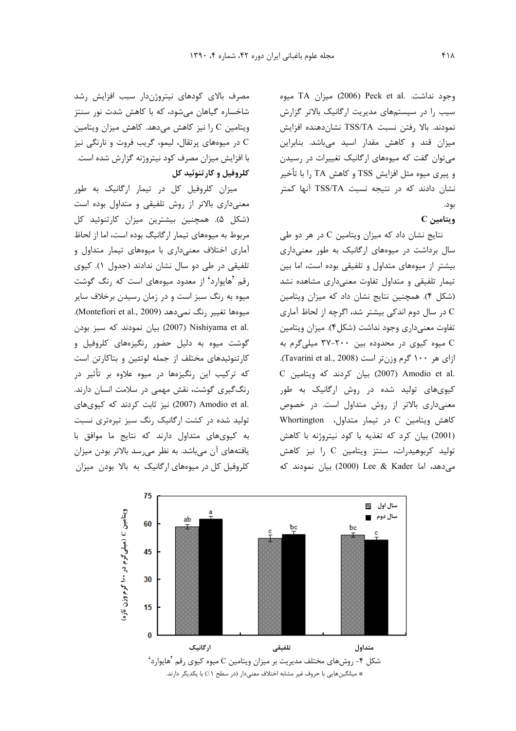وجود نداشت. .Peck et al (2006) ميزان TA ميوه سیب را در سیستمهای مدیریت ارگانیک بالاتر گزارش نمودند. بالا رفتن نسبت TSS/TA نشاندهنده افزايش میزان قند و کاهش مقدار اسید میباشد. بنابراین می توان گفت که میوههای ارگانیک تغییرات در رسیدن و پیری میوه مثل افزایش TSS و کاهش TA را با تأخیر نشان دادند که در نتیجه نسبت TSS/TA آنها کمتر بود.

### $C$ ويتامين

نتایج نشان داد که میزان ویتامین C در هر دو طی سال برداشت در میوههای ارگانیک به طور معنیداری بیشتر از میوههای متداول و تلفیقی بوده است، اما بین تیمار تلفیقی و متداول تفاوت معنیداری مشاهده نشد (شكل ۴). همچنين نتايج نشان داد كه ميزان ويتامين C در سال دوم اندکی بیشتر شد، اگرچه از لحاظ آماری تفاوت معنی داری وجود نداشت (شکل۴). میزان ویتامین C میوه کیوی در محدوده بین ۲۰۰-۳۷ میلیگرم به ازای هر ۱۰۰ گرم وزن تر است (Tavarini et al., 2008). C بیان کردند که ویتامین C بیان کردند که بر کیویهای تولید شده در روش ارگانیک به طور معنیداری بالاتر از روش متداول است. در خصوص كاهش ويتامين C در تيمار متداول، Whortington (2001) بيان كرد كه تغذيه با كود نيتروژنه با كاهش تولید کربوهیدرات، سنتز ویتامین C را نیز کاهش می دهد، اما Lee & Kader (2000) بیان نمودند که

مصرف بالای کودهای نیتروژندار سبب افزایش رشد شاخساره گیاهان میشود، که با کاهش شدت نور سنتز ويتامين C را نيز كاهش مى دهد. كاهش ميزان ويتامين در میوههای پرتقال، لیمو، گریب فروت و نارنگی نیز C با افزایش میزان مصرف کود نیتروژنه گزارش شده است. کلروفیل و کارتنوئید کل

میزان کلروفیل کل در تیمار ارگانیک به طور معنیداری بالاتر از روش تلفیقی و متداول بوده است (شکل ۵). همچنین بیشترین میزان کارتنوئید کل مربوط به میوههای تیمار ارگانیگ بوده است، اما از لحاظ آماری اختلاف معنیداری با میوههای تیمار متداول و تلفیقی در طی دو سال نشان ندادند (جدول ۱). کیوی رقم <sup>ف</sup>هایوارد' از معدود میوههای است که رنگ گوشت میوه به رنگ سبز است و در زمان رسیدن برخلاف سایر ميوهها تغيير رنگ نمي دهد (Montefiori et al., 2009). .2007) Nishiyama et al بيان نمودند كه سبز بودن گوشت میوه به دلیل حضور رنگیزههای کلروفیل و کارتنوئیدهای مختلف از جمله لوتئین و بتاکارتن است که ترکیب این رنگیزهها در میوه علاوه بر تأثیر در رنگ گیری گوشت، نقش مهمی در سلامت انسان دارند. :Amodio et al (2007) نیز ثابت کردند که کیویهای تولید شده در کشت ارگانیک رنگ سبز تیرهتری نسبت به کیویهای متداول دارند که نتایج ما موافق با یافتههای آن می باشد. به نظر می رسد بالاتر بودن میزان کلروفیل کل در میوههای ارگانیک به بالا بودن میزان

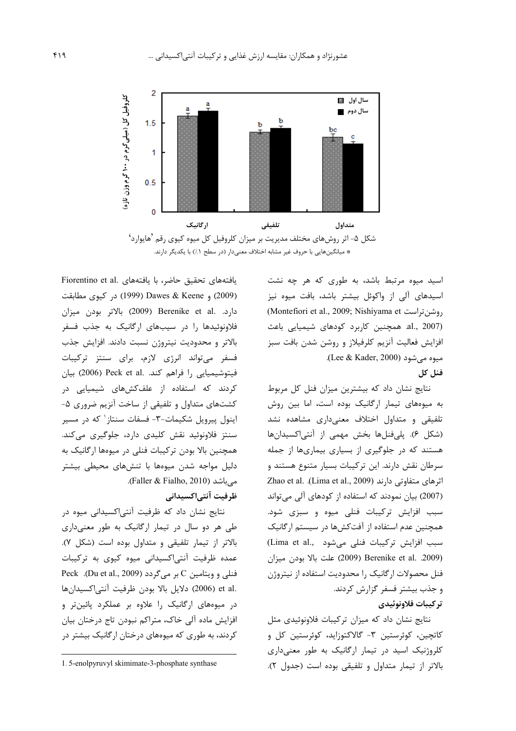

اسید میوه مرتبط باشد، به طوری که هر چه نشت اسیدهای آلی از واکوئل بیشتر باشد، بافت میوه نیز (Montefiori et al., 2009; Nishiyama et روشن تراست, al., 2007). همچنین کاربرد کودهای شیمیایی باعث افزایش فعالیت آنزیم کلرفیلاز و روشن شدن بافت سبز میوه می شود (Lee & Kader, 2000).

#### فنل كل

نتایج نشان داد که بیشترین میزان فنل کل مربوط به میوههای تیمار ارگانیک بوده است، اما بین روش تلفیقی و متداول اختلاف معنیداری مشاهده نشد (شكل ۶). يلي فنلها بخش مهمى از آنتى اكسيدانها هستند که در جلوگیری از بسیاری بیماریها از جمله سرطان نقش دارند. این ترکیبات بسیار متنوع هستند و Zhao et al. (Lima et al., 2009) اثرهای متفاوتی دارند (2007) بیان نمودند که استفاده از کودهای آلی می تواند سبب افزایش ترکیبات فنلی میوه و سبزی شود. همچنین عدم استفاده از آفتکشها در سیستم ارگانیک سبب افزایش ترکیبات فنلی میشود .Lima et al (2009) Berenike et al. .2009 (2009) علت بالا بودن ميزان فنل محصولات ارگانیک را محدودیت استفاده از نیتروژن و جذب بیشتر فسفر گزارش کردند. تر كيبات فلاونوئيدي

نتایج نشان داد که میزان ترکیبات فلاونوئیدی مثل کاتچین، کوئرستین ۳- گالاکتوزاید، کوئرستین کل و کلروژنیک اسید در تیمار ارگانیک به طور معنیداری بالاتر از تيمار متداول و تلفيقي بوده است (جدول ٢).

Fiorentino et al. يافتههاى بافته استه با يافتههاى تحقيق حاضر، با (2009) و Dawes & Keene (1999) در کیوی مطابقت دارد. Berenike et al. (2009) بالاتر بودن ميزان فلاونوئیدها را در سیبهای ارگانیک به جذب فسفر بالاتر و محدودیت نیتروژن نسبت دادند. افزایش جذب فسفر میتواند انرژی لازم، برای سنتز ترکیبات فيتوشيميايي را فراهم كند. .Peck et al (2006) بيان کردند که استفاده از علفکشهای شیمیایی در کشتهای متداول و تلفیقی از ساخت آنزیم ضروری ۵-اینول پیرویل شکیمات-۳- فسفات سنتاز<sup>۱</sup> که در مسیر سنتز فلاونوئید نقش کلیدی دارد، جلوگیری میکند. همچنین بالا بودن ترکیبات فنلی در میوهها ارگانیک به دلیل مواجه شدن میوهها با تنشهای محیطی بیشتر می باشد (Faller & Fialho, 2010).

## ظرفيت آنتي|كسيداني

نتایج نشان داد که ظرفیت آنتی|کسیدانی میوه در طی هر دو سال در تیمار ارگانیک به طور معنیداری بالاتر از تیمار تلفیقی و متداول بوده است (شکل ۷). عمده ظرفیت آنتی|کسیدانی میوه کیوی به ترکیبات Peck .(Du et al., 2009) بر میگردد .et al (2006) دلايل بالا بودن ظرفيت آنتى اكسيدانها در میوههای ارگانیک را علاوه بر عملکرد پائینتر و افزایش ماده آلی خاک، متراکم نبودن تاج درختان بیان کردند، به طوری که میوههای درختان ارگانیک بیشتر در

<sup>1.5-</sup>enolpyruvyl skimimate-3-phosphate synthase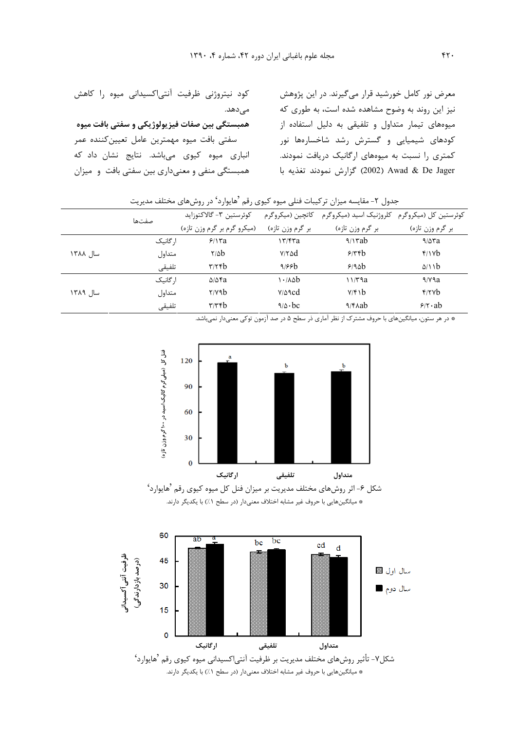| کود نیتروژنی ظرفیت آنتیاکسیدانی میوه را کاهش        | معرض نور کامل خورشید قرار میگیرند. در این پژوهش  |
|-----------------------------------------------------|--------------------------------------------------|
| مے ٖدھد.                                            | نیز این روند به وضوح مشاهده شده است، به طوری که  |
| همبستگی بین صفات فیزیولوژیکی و سفتی بافت میوه       | میوههای تیمار متداول و تلفیقی به دلیل استفاده از |
| سفتی بافت میوه مهمترین عامل تعیین <i>ک</i> ننده عمر | .<br>کودهای شیمیایی و گسترش رشد شاخسارهها نور    |
| انباری میوه کیوی میباشد. نتایج نشان داد که          | کمتری را نسبت به میوههای ارگانیک دریافت نمودند.  |
| همبستگی منفی و معنیداری بین سفتی بافت و میزان       | 2002) Awad & De Jager كزارش نمودند تغذيه با      |

| جدول ۲- مقایسه میزان ترکیبات فنلی میوه کیوی رقم ′هایوارد' در روشهای مختلف مدیریت |          |                             |                  |                                                                  |                  |  |  |  |
|----------------------------------------------------------------------------------|----------|-----------------------------|------------------|------------------------------------------------------------------|------------------|--|--|--|
|                                                                                  | صفتها    | كوئرستين ٣- گالاكتوزايد     |                  | کوئرستین کل (میکروگرم۔ کلروژنیک اسید (میکروگرم۔ کاتچین (میکروگرم |                  |  |  |  |
|                                                                                  |          | (میکرو گرم بر گرم وزن تازه) | بر گرم وزن تازه) | بر گرم وزن تازہ)                                                 | بر گرم وزن تازه) |  |  |  |
|                                                                                  | ا, گانیک | 5/17a                       | $\frac{17}{50}$  | $\frac{1}{1}$                                                    | 9/27a            |  |  |  |
| سال ۱۳۸۸                                                                         | متداول   | $\frac{7}{8}$               | $V/Y$ $\Delta d$ | 5/56                                                             | f/Yb             |  |  |  |
|                                                                                  | تلفيقى   | $\mathbf{r}$                | 9/55             | 9/9ab                                                            | $\Delta/\lambda$ |  |  |  |
|                                                                                  | ا, گانىك | $\Delta/\Delta$ ra          | 1.4ab            | ۱۱/۳۹a                                                           | 9/V9a            |  |  |  |
| سال ۱۳۸۹                                                                         | متداول   | $\gamma$                    | $V/\Delta$ 9cd   | Y/F1b                                                            | $f$ /۲ $v$ b     |  |  |  |
|                                                                                  | تلفيقى   | $\tau/\tau$ rb              | $9/0 \cdot bc$   | $\frac{9}{600}$                                                  | $9/1 \cdot ab$   |  |  |  |

| دول ۲- مقایسه میزان ترکیبات فنلی میوه کیوی رقم 'هایوارد' در روشهای مختلف مدیریت |  |  |  |  |
|---------------------------------------------------------------------------------|--|--|--|--|
|                                                                                 |  |  |  |  |

\* در هر ستون، میانگینهای با حروف مشترک از نظر آماری در سطح ۵ در صد آزمون توکی معنیدار نمیباشد.



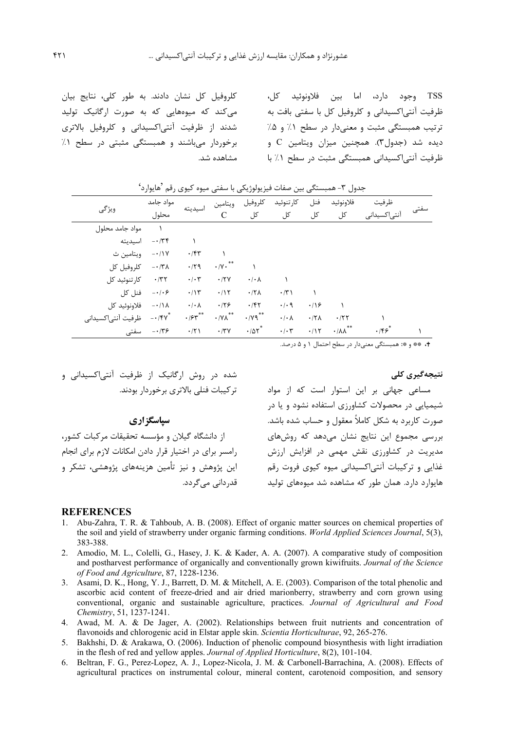TSS وجود دارد، اما بين فلاونوئيد كل، ظرفیت آنتی|کسیدانی و کلروفیل کل با سفتی بافت به میکند که میوههایی که به صورت ارگانیک تولید ترتیب همبستگی مثبت و معنیدار در سطح ۱٪ و ۵٪ دیده شد (جدول۳). همچنین میزان ویتامین C و برخوردار میباشند و همبستگی مثبتی در سطح ۱٪ ظرفیت آنتی|کسیدانی همبستگی مثبت در سطح ۱٪ با

کلروفیل کل نشان دادند. به طور کلی، نتایج بیان شدند از ظرفیت آنتی|کسیدانی و کلروفیل بالاتری مشاهده شد.

حدول ۳- همیستگی پین صفات فیزیولوژیکی یا سفتی میوه کیوی رقم 'هایوارد'

| ويژگى              | مواد جامد                         | اسيديته                   | ويتامين                    | كلروفيل                                   | كارتنوئيد                | فنل          | فلاونوئيد                      | ظرفيت            |      |
|--------------------|-----------------------------------|---------------------------|----------------------------|-------------------------------------------|--------------------------|--------------|--------------------------------|------------------|------|
|                    | محلول                             |                           | C                          | کل                                        | کل                       | کل           | کل                             | آنتی کسیدانی     | سفتى |
| مواد جامد محلول    |                                   |                           |                            |                                           |                          |              |                                |                  |      |
| اسيديته            | $- \cdot 74$                      |                           |                            |                                           |                          |              |                                |                  |      |
| ويتامين ث          | $-11Y$                            | $\cdot$ /۴۳               |                            |                                           |                          |              |                                |                  |      |
| كلروفيل كل         | $- \cdot / \tau \wedge$           | .79                       | $\cdot$ /Y $\cdot$ $^{**}$ |                                           |                          |              |                                |                  |      |
| كار تنوئيد كل      | $\cdot$ /٣٢                       | $\cdot/\cdot7$            | .77V                       | $\cdot/\cdot \wedge$                      |                          |              |                                |                  |      |
| فنل کل             | $-\cdot/\cdot$ ۶                  | $\cdot/\gamma$            | .115                       | $.77\lambda$                              | $\cdot/\tau$             |              |                                |                  |      |
| فلاونوئيد كل       | $-\cdot/\lambda$                  | $\cdot/\cdot \wedge$      | .179                       | .75                                       | $\cdot$ / $\cdot$ 9      | .19          |                                |                  |      |
| ظرفيت آنتىاكسيداني | $- \cdot / \mathfrak{F} \gamma^*$ | $\cdot$ / $\varsigma$ r** | $\cdot$ /Y $\Lambda$ **    | $\cdot$ / $\gamma$ $\gamma$ <sup>**</sup> | $\cdot/\cdot \wedge$     | $.77\lambda$ | .777                           |                  |      |
| سفتى               | $- \cdot 75$                      | $\cdot$ /٢١               | $\cdot$ /٣٧                | $\cdot$ /0 $r^*$                          | $\cdot$ / $\cdot$ $\tau$ | .115         | $**$<br>$\cdot/\lambda\lambda$ | $\cdot$ /۴۶ $^*$ |      |

+، \*\* و \*: همبستگی معنیدار در سطح احتمال ١ و ۵ درصد.

نتیجهگیری کلی

مساعی جهانی بر این استوار است که از مواد شیمیایی در محصولات کشاورزی استفاده نشود و یا در صورت کاربرد به شکل کاملاً معقول و حساب شده باشد. بررسی مجموع این نتایج نشان می۵هد که روشهای مدیریت در کشاورزی نقش مهمی در افزایش ارزش .<br>غذایی و ترکیبات آنتی/کسیدانی میوه کیوی فروت رقم هایوارد دارد. همان طور که مشاهده شد میوههای تولید

## شده در روش ارگانیک از ظرفیت آنتی|کسیدانی و ترکیبات فنلی بالاتری برخوردار بودند.

#### سیاسگز اری

از دانشگاه گیلان و مؤسسه تحقیقات مرکبات کشور، رامسر برای در اختیار قرار دادن امکانات لازم برای انجام این پژوهش و نیز تأمین هزینههای پژوهشی، تشکر و قدردانے ،مے گردد.

#### **REFERENCES**

- 1. Abu-Zahra, T. R. & Tahboub, A. B. (2008). Effect of organic matter sources on chemical properties of the soil and yield of strawberry under organic farming conditions. World Applied Sciences Journal, 5(3), 383-388.
- 2. Amodio, M. L., Colelli, G., Hasey, J. K. & Kader, A. A. (2007). A comparative study of composition and postharvest performance of organically and conventionally grown kiwifruits. Journal of the Science of Food and Agriculture, 87, 1228-1236.
- 3. Asami, D. K., Hong, Y. J., Barrett, D. M. & Mitchell, A. E. (2003). Comparison of the total phenolic and ascorbic acid content of freeze-dried and air dried marionberry, strawberry and corn grown using conventional, organic and sustainable agriculture, practices. Journal of Agricultural and Food Chemistry, 51, 1237-1241.
- 4. Awad, M. A. & De Jager, A. (2002). Relationships between fruit nutrients and concentration of flavonoids and chlorogenic acid in Elstar apple skin. Scientia Horticulturae, 92, 265-276.
- 5. Bakhshi, D. & Arakawa, O. (2006). Induction of phenolic compound biosynthesis with light irradiation in the flesh of red and vellow apples. Journal of Applied Horticulture, 8(2), 101-104.
- Beltran, F. G., Perez-Lopez, A. J., Lopez-Nicola, J. M. & Carbonell-Barrachina, A. (2008). Effects of 6. agricultural practices on instrumental colour, mineral content, carotenoid composition, and sensory